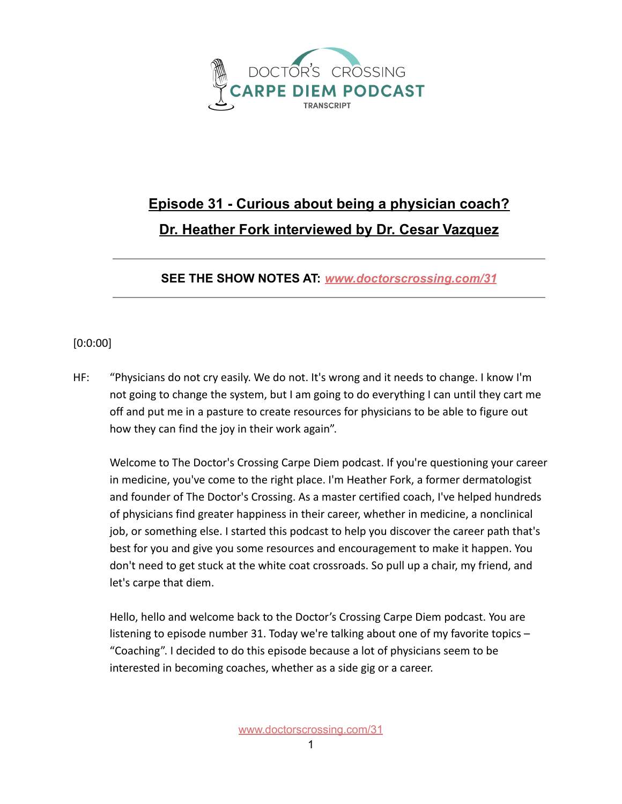

## **Episode 31 - Curious about being a physician coach? Dr. Heather Fork interviewed by Dr. Cesar Vazquez**

**SEE THE SHOW NOTES AT:** *[www.doctorscrossing.com/31](http://www.doctorscrossing.com/31)*

## [0:0:00]

HF: "Physicians do not cry easily. We do not. It's wrong and it needs to change. I know I'm not going to change the system, but I am going to do everything I can until they cart me off and put me in a pasture to create resources for physicians to be able to figure out how they can find the joy in their work again".

Welcome to The Doctor's Crossing Carpe Diem podcast. If you're questioning your career in medicine, you've come to the right place. I'm Heather Fork, a former dermatologist and founder of The Doctor's Crossing. As a master certified coach, I've helped hundreds of physicians find greater happiness in their career, whether in medicine, a nonclinical job, or something else. I started this podcast to help you discover the career path that's best for you and give you some resources and encouragement to make it happen. You don't need to get stuck at the white coat crossroads. So pull up a chair, my friend, and let's carpe that diem.

Hello, hello and welcome back to the Doctor's Crossing Carpe Diem podcast. You are listening to episode number 31. Today we're talking about one of my favorite topics – "Coaching". I decided to do this episode because a lot of physicians seem to be interested in becoming coaches, whether as a side gig or a career.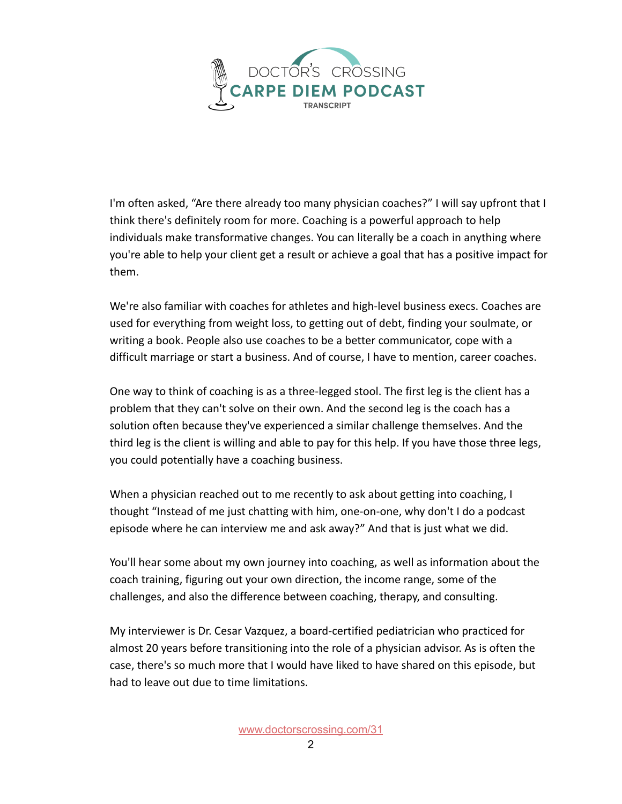

I'm often asked, "Are there already too many physician coaches?" I will say upfront that I think there's definitely room for more. Coaching is a powerful approach to help individuals make transformative changes. You can literally be a coach in anything where you're able to help your client get a result or achieve a goal that has a positive impact for them.

We're also familiar with coaches for athletes and high-level business execs. Coaches are used for everything from weight loss, to getting out of debt, finding your soulmate, or writing a book. People also use coaches to be a better communicator, cope with a difficult marriage or start a business. And of course, I have to mention, career coaches.

One way to think of coaching is as a three-legged stool. The first leg is the client has a problem that they can't solve on their own. And the second leg is the coach has a solution often because they've experienced a similar challenge themselves. And the third leg is the client is willing and able to pay for this help. If you have those three legs, you could potentially have a coaching business.

When a physician reached out to me recently to ask about getting into coaching, I thought "Instead of me just chatting with him, one-on-one, why don't I do a podcast episode where he can interview me and ask away?" And that is just what we did.

You'll hear some about my own journey into coaching, as well as information about the coach training, figuring out your own direction, the income range, some of the challenges, and also the difference between coaching, therapy, and consulting.

My interviewer is Dr. Cesar Vazquez, a board-certified pediatrician who practiced for almost 20 years before transitioning into the role of a physician advisor. As is often the case, there's so much more that I would have liked to have shared on this episode, but had to leave out due to time limitations.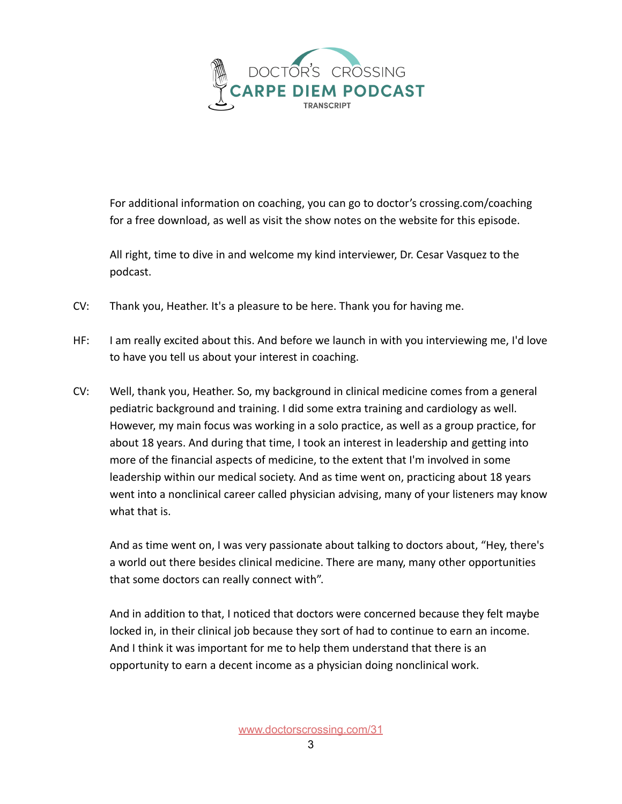

For additional information on coaching, you can go to doctor's crossing.com/coaching for a free download, as well as visit the show notes on the website for this episode.

All right, time to dive in and welcome my kind interviewer, Dr. Cesar Vasquez to the podcast.

- CV: Thank you, Heather. It's a pleasure to be here. Thank you for having me.
- HF: I am really excited about this. And before we launch in with you interviewing me, I'd love to have you tell us about your interest in coaching.
- CV: Well, thank you, Heather. So, my background in clinical medicine comes from a general pediatric background and training. I did some extra training and cardiology as well. However, my main focus was working in a solo practice, as well as a group practice, for about 18 years. And during that time, I took an interest in leadership and getting into more of the financial aspects of medicine, to the extent that I'm involved in some leadership within our medical society. And as time went on, practicing about 18 years went into a nonclinical career called physician advising, many of your listeners may know what that is.

And as time went on, I was very passionate about talking to doctors about, "Hey, there's a world out there besides clinical medicine. There are many, many other opportunities that some doctors can really connect with".

And in addition to that, I noticed that doctors were concerned because they felt maybe locked in, in their clinical job because they sort of had to continue to earn an income. And I think it was important for me to help them understand that there is an opportunity to earn a decent income as a physician doing nonclinical work.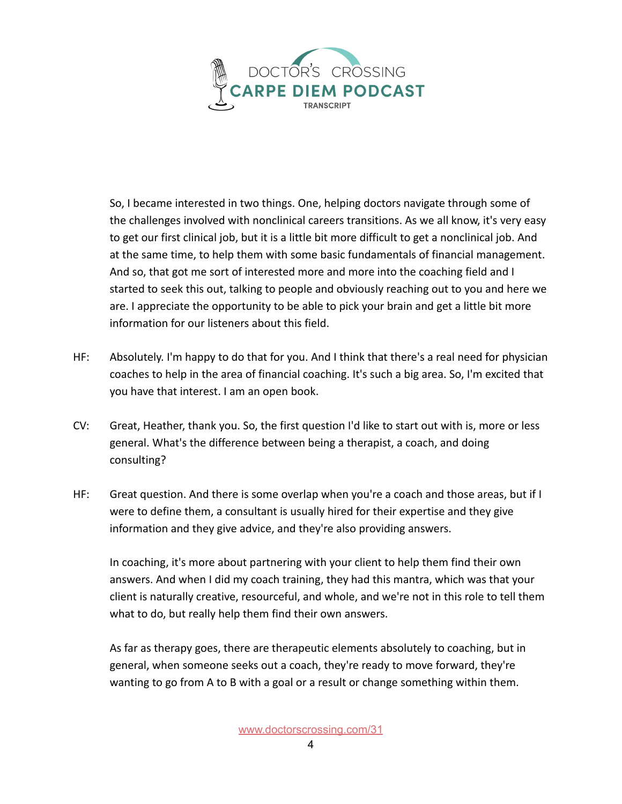

So, I became interested in two things. One, helping doctors navigate through some of the challenges involved with nonclinical careers transitions. As we all know, it's very easy to get our first clinical job, but it is a little bit more difficult to get a nonclinical job. And at the same time, to help them with some basic fundamentals of financial management. And so, that got me sort of interested more and more into the coaching field and I started to seek this out, talking to people and obviously reaching out to you and here we are. I appreciate the opportunity to be able to pick your brain and get a little bit more information for our listeners about this field.

- HF: Absolutely. I'm happy to do that for you. And I think that there's a real need for physician coaches to help in the area of financial coaching. It's such a big area. So, I'm excited that you have that interest. I am an open book.
- CV: Great, Heather, thank you. So, the first question I'd like to start out with is, more or less general. What's the difference between being a therapist, a coach, and doing consulting?
- HF: Great question. And there is some overlap when you're a coach and those areas, but if I were to define them, a consultant is usually hired for their expertise and they give information and they give advice, and they're also providing answers.

In coaching, it's more about partnering with your client to help them find their own answers. And when I did my coach training, they had this mantra, which was that your client is naturally creative, resourceful, and whole, and we're not in this role to tell them what to do, but really help them find their own answers.

As far as therapy goes, there are therapeutic elements absolutely to coaching, but in general, when someone seeks out a coach, they're ready to move forward, they're wanting to go from A to B with a goal or a result or change something within them.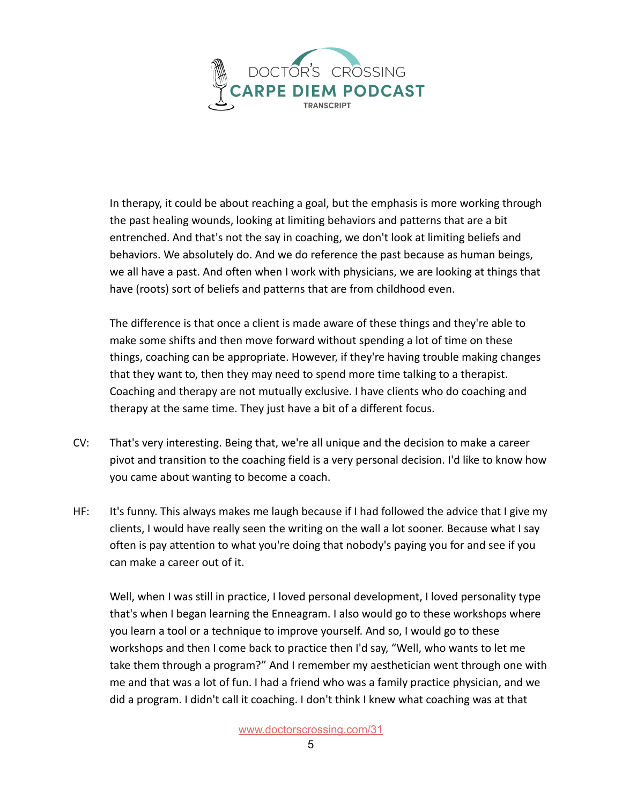

In therapy, it could be about reaching a goal, but the emphasis is more working through the past healing wounds, looking at limiting behaviors and patterns that are a bit entrenched. And that's not the say in coaching, we don't look at limiting beliefs and behaviors. We absolutely do. And we do reference the past because as human beings, we all have a past. And often when I work with physicians, we are looking at things that have (roots) sort of beliefs and patterns that are from childhood even.

The difference is that once a client is made aware of these things and they're able to make some shifts and then move forward without spending a lot of time on these things, coaching can be appropriate. However, if they're having trouble making changes that they want to, then they may need to spend more time talking to a therapist. Coaching and therapy are not mutually exclusive. I have clients who do coaching and therapy at the same time. They just have a bit of a different focus.

- CV: That's very interesting. Being that, we're all unique and the decision to make a career pivot and transition to the coaching field is a very personal decision. I'd like to know how you came about wanting to become a coach.
- HF: It's funny. This always makes me laugh because if I had followed the advice that I give my clients, I would have really seen the writing on the wall a lot sooner. Because what I say often is pay attention to what you're doing that nobody's paying you for and see if you can make a career out of it.

Well, when I was still in practice, I loved personal development, I loved personality type that's when I began learning the Enneagram. I also would go to these workshops where you learn a tool or a technique to improve yourself. And so, I would go to these workshops and then I come back to practice then I'd say, "Well, who wants to let me take them through a program?" And I remember my aesthetician went through one with me and that was a lot of fun. I had a friend who was a family practice physician, and we did a program. I didn't call it coaching. I don't think I knew what coaching was at that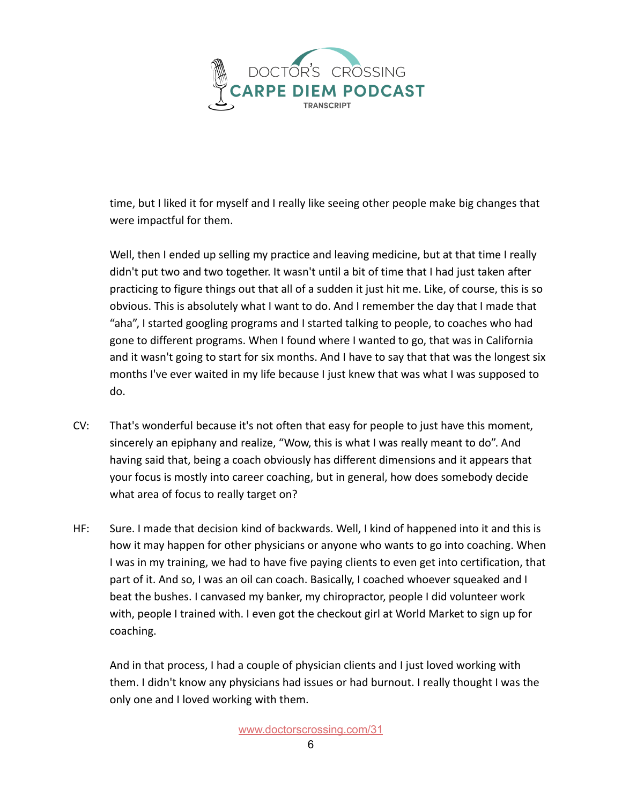

time, but I liked it for myself and I really like seeing other people make big changes that were impactful for them.

Well, then I ended up selling my practice and leaving medicine, but at that time I really didn't put two and two together. It wasn't until a bit of time that I had just taken after practicing to figure things out that all of a sudden it just hit me. Like, of course, this is so obvious. This is absolutely what I want to do. And I remember the day that I made that "aha", I started googling programs and I started talking to people, to coaches who had gone to different programs. When I found where I wanted to go, that was in California and it wasn't going to start for six months. And I have to say that that was the longest six months I've ever waited in my life because I just knew that was what I was supposed to do.

- CV: That's wonderful because it's not often that easy for people to just have this moment, sincerely an epiphany and realize, "Wow, this is what I was really meant to do". And having said that, being a coach obviously has different dimensions and it appears that your focus is mostly into career coaching, but in general, how does somebody decide what area of focus to really target on?
- HF: Sure. I made that decision kind of backwards. Well, I kind of happened into it and this is how it may happen for other physicians or anyone who wants to go into coaching. When I was in my training, we had to have five paying clients to even get into certification, that part of it. And so, I was an oil can coach. Basically, I coached whoever squeaked and I beat the bushes. I canvased my banker, my chiropractor, people I did volunteer work with, people I trained with. I even got the checkout girl at World Market to sign up for coaching.

And in that process, I had a couple of physician clients and I just loved working with them. I didn't know any physicians had issues or had burnout. I really thought I was the only one and I loved working with them.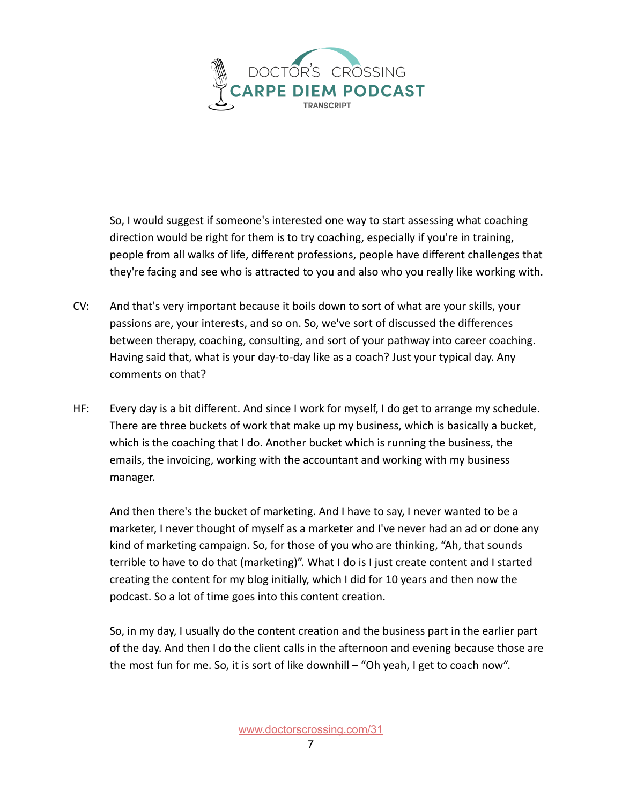

So, I would suggest if someone's interested one way to start assessing what coaching direction would be right for them is to try coaching, especially if you're in training, people from all walks of life, different professions, people have different challenges that they're facing and see who is attracted to you and also who you really like working with.

- CV: And that's very important because it boils down to sort of what are your skills, your passions are, your interests, and so on. So, we've sort of discussed the differences between therapy, coaching, consulting, and sort of your pathway into career coaching. Having said that, what is your day-to-day like as a coach? Just your typical day. Any comments on that?
- HF: Every day is a bit different. And since I work for myself, I do get to arrange my schedule. There are three buckets of work that make up my business, which is basically a bucket, which is the coaching that I do. Another bucket which is running the business, the emails, the invoicing, working with the accountant and working with my business manager.

And then there's the bucket of marketing. And I have to say, I never wanted to be a marketer, I never thought of myself as a marketer and I've never had an ad or done any kind of marketing campaign. So, for those of you who are thinking, "Ah, that sounds terrible to have to do that (marketing)". What I do is I just create content and I started creating the content for my blog initially, which I did for 10 years and then now the podcast. So a lot of time goes into this content creation.

So, in my day, I usually do the content creation and the business part in the earlier part of the day. And then I do the client calls in the afternoon and evening because those are the most fun for me. So, it is sort of like downhill – "Oh yeah, I get to coach now".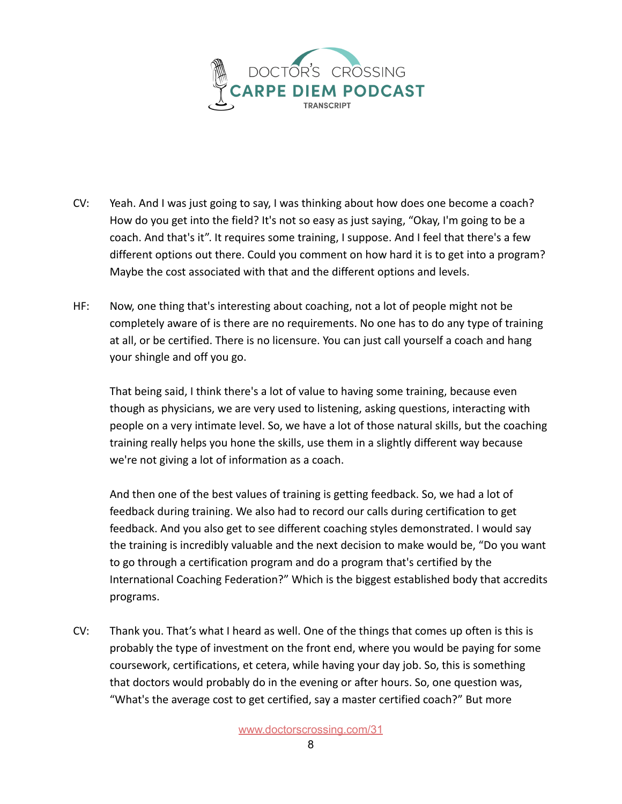

- CV: Yeah. And I was just going to say, I was thinking about how does one become a coach? How do you get into the field? It's not so easy as just saying, "Okay, I'm going to be a coach. And that's it". It requires some training, I suppose. And I feel that there's a few different options out there. Could you comment on how hard it is to get into a program? Maybe the cost associated with that and the different options and levels.
- HF: Now, one thing that's interesting about coaching, not a lot of people might not be completely aware of is there are no requirements. No one has to do any type of training at all, or be certified. There is no licensure. You can just call yourself a coach and hang your shingle and off you go.

That being said, I think there's a lot of value to having some training, because even though as physicians, we are very used to listening, asking questions, interacting with people on a very intimate level. So, we have a lot of those natural skills, but the coaching training really helps you hone the skills, use them in a slightly different way because we're not giving a lot of information as a coach.

And then one of the best values of training is getting feedback. So, we had a lot of feedback during training. We also had to record our calls during certification to get feedback. And you also get to see different coaching styles demonstrated. I would say the training is incredibly valuable and the next decision to make would be, "Do you want to go through a certification program and do a program that's certified by the International Coaching Federation?" Which is the biggest established body that accredits programs.

CV: Thank you. That's what I heard as well. One of the things that comes up often is this is probably the type of investment on the front end, where you would be paying for some coursework, certifications, et cetera, while having your day job. So, this is something that doctors would probably do in the evening or after hours. So, one question was, "What's the average cost to get certified, say a master certified coach?" But more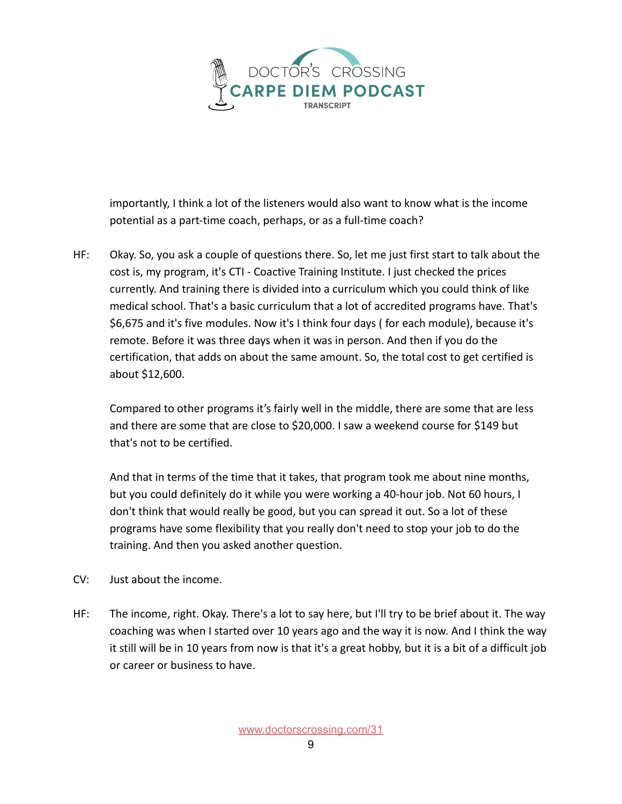

importantly, I think a lot of the listeners would also want to know what is the income potential as a part-time coach, perhaps, or as a full-time coach?

HF: Okay. So, you ask a couple of questions there. So, let me just first start to talk about the cost is, my program, it's CTI - Coactive Training Institute. I just checked the prices currently. And training there is divided into a curriculum which you could think of like medical school. That's a basic curriculum that a lot of accredited programs have. That's \$6,675 and it's five modules. Now it's I think four days ( for each module), because it's remote. Before it was three days when it was in person. And then if you do the certification, that adds on about the same amount. So, the total cost to get certified is about \$12,600.

Compared to other programs it's fairly well in the middle, there are some that are less and there are some that are close to \$20,000. I saw a weekend course for \$149 but that's not to be certified.

And that in terms of the time that it takes, that program took me about nine months, but you could definitely do it while you were working a 40-hour job. Not 60 hours, I don't think that would really be good, but you can spread it out. So a lot of these programs have some flexibility that you really don't need to stop your job to do the training. And then you asked another question.

- CV: Just about the income.
- HF: The income, right. Okay. There's a lot to say here, but I'll try to be brief about it. The way coaching was when I started over 10 years ago and the way it is now. And I think the way it still will be in 10 years from now is that it's a great hobby, but it is a bit of a difficult job or career or business to have.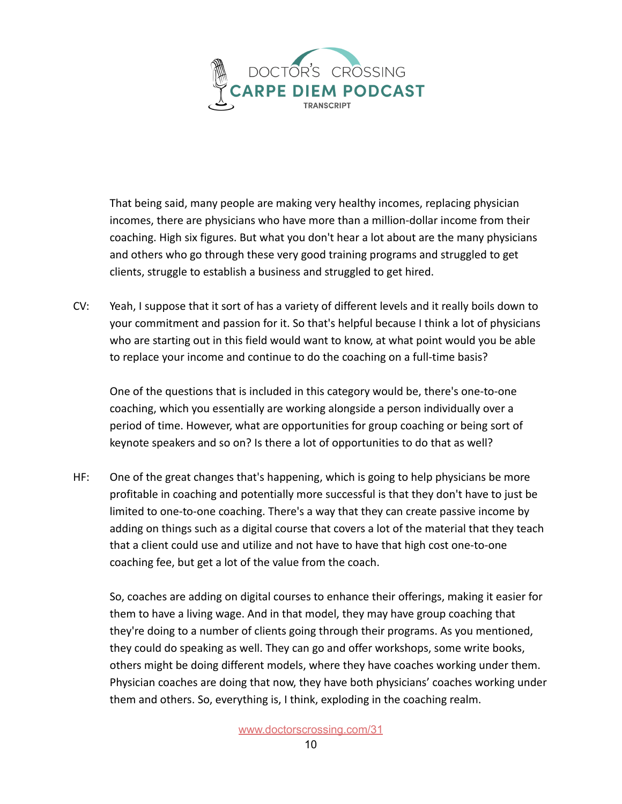

That being said, many people are making very healthy incomes, replacing physician incomes, there are physicians who have more than a million-dollar income from their coaching. High six figures. But what you don't hear a lot about are the many physicians and others who go through these very good training programs and struggled to get clients, struggle to establish a business and struggled to get hired.

CV: Yeah, I suppose that it sort of has a variety of different levels and it really boils down to your commitment and passion for it. So that's helpful because I think a lot of physicians who are starting out in this field would want to know, at what point would you be able to replace your income and continue to do the coaching on a full-time basis?

One of the questions that is included in this category would be, there's one-to-one coaching, which you essentially are working alongside a person individually over a period of time. However, what are opportunities for group coaching or being sort of keynote speakers and so on? Is there a lot of opportunities to do that as well?

HF: One of the great changes that's happening, which is going to help physicians be more profitable in coaching and potentially more successful is that they don't have to just be limited to one-to-one coaching. There's a way that they can create passive income by adding on things such as a digital course that covers a lot of the material that they teach that a client could use and utilize and not have to have that high cost one-to-one coaching fee, but get a lot of the value from the coach.

So, coaches are adding on digital courses to enhance their offerings, making it easier for them to have a living wage. And in that model, they may have group coaching that they're doing to a number of clients going through their programs. As you mentioned, they could do speaking as well. They can go and offer workshops, some write books, others might be doing different models, where they have coaches working under them. Physician coaches are doing that now, they have both physicians' coaches working under them and others. So, everything is, I think, exploding in the coaching realm.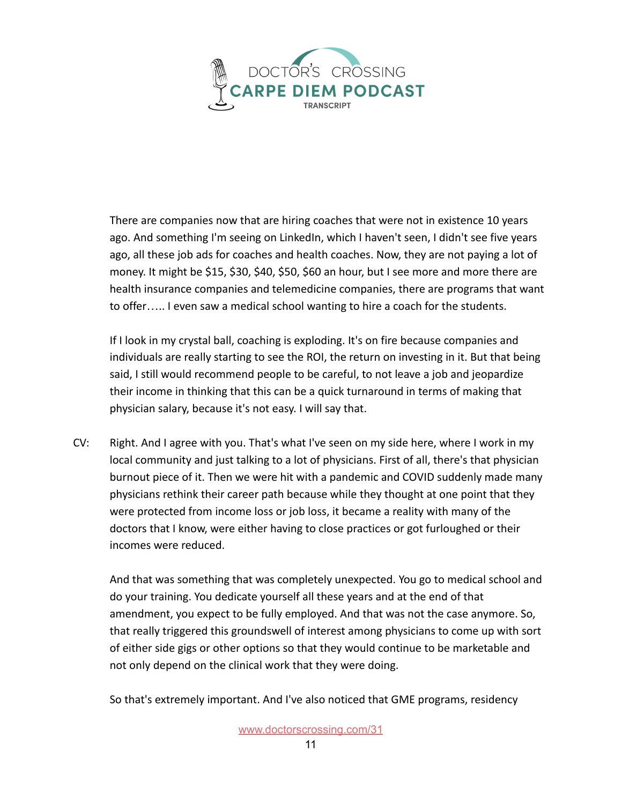

There are companies now that are hiring coaches that were not in existence 10 years ago. And something I'm seeing on LinkedIn, which I haven't seen, I didn't see five years ago, all these job ads for coaches and health coaches. Now, they are not paying a lot of money. It might be \$15, \$30, \$40, \$50, \$60 an hour, but I see more and more there are health insurance companies and telemedicine companies, there are programs that want to offer….. I even saw a medical school wanting to hire a coach for the students.

If I look in my crystal ball, coaching is exploding. It's on fire because companies and individuals are really starting to see the ROI, the return on investing in it. But that being said, I still would recommend people to be careful, to not leave a job and jeopardize their income in thinking that this can be a quick turnaround in terms of making that physician salary, because it's not easy. I will say that.

CV: Right. And I agree with you. That's what I've seen on my side here, where I work in my local community and just talking to a lot of physicians. First of all, there's that physician burnout piece of it. Then we were hit with a pandemic and COVID suddenly made many physicians rethink their career path because while they thought at one point that they were protected from income loss or job loss, it became a reality with many of the doctors that I know, were either having to close practices or got furloughed or their incomes were reduced.

And that was something that was completely unexpected. You go to medical school and do your training. You dedicate yourself all these years and at the end of that amendment, you expect to be fully employed. And that was not the case anymore. So, that really triggered this groundswell of interest among physicians to come up with sort of either side gigs or other options so that they would continue to be marketable and not only depend on the clinical work that they were doing.

So that's extremely important. And I've also noticed that GME programs, residency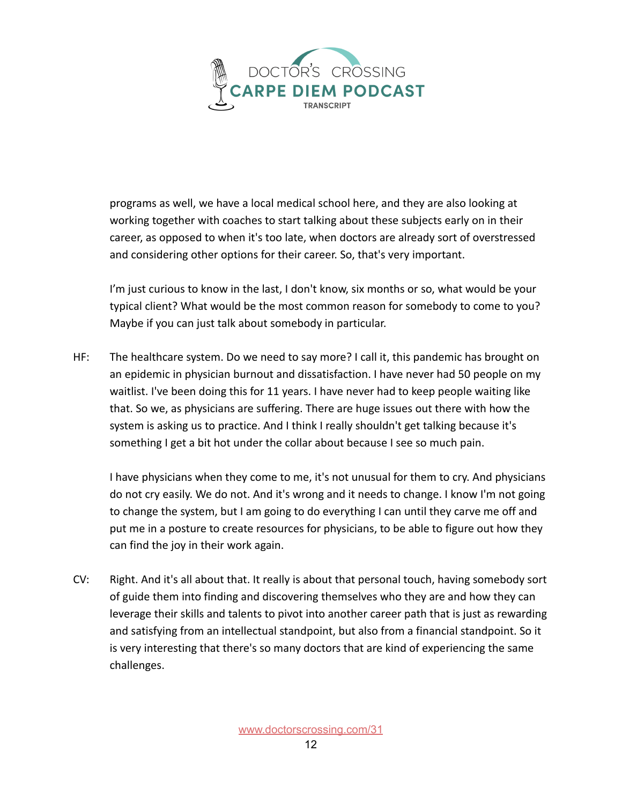

programs as well, we have a local medical school here, and they are also looking at working together with coaches to start talking about these subjects early on in their career, as opposed to when it's too late, when doctors are already sort of overstressed and considering other options for their career. So, that's very important.

I'm just curious to know in the last, I don't know, six months or so, what would be your typical client? What would be the most common reason for somebody to come to you? Maybe if you can just talk about somebody in particular.

HF: The healthcare system. Do we need to say more? I call it, this pandemic has brought on an epidemic in physician burnout and dissatisfaction. I have never had 50 people on my waitlist. I've been doing this for 11 years. I have never had to keep people waiting like that. So we, as physicians are suffering. There are huge issues out there with how the system is asking us to practice. And I think I really shouldn't get talking because it's something I get a bit hot under the collar about because I see so much pain.

I have physicians when they come to me, it's not unusual for them to cry. And physicians do not cry easily. We do not. And it's wrong and it needs to change. I know I'm not going to change the system, but I am going to do everything I can until they carve me off and put me in a posture to create resources for physicians, to be able to figure out how they can find the joy in their work again.

CV: Right. And it's all about that. It really is about that personal touch, having somebody sort of guide them into finding and discovering themselves who they are and how they can leverage their skills and talents to pivot into another career path that is just as rewarding and satisfying from an intellectual standpoint, but also from a financial standpoint. So it is very interesting that there's so many doctors that are kind of experiencing the same challenges.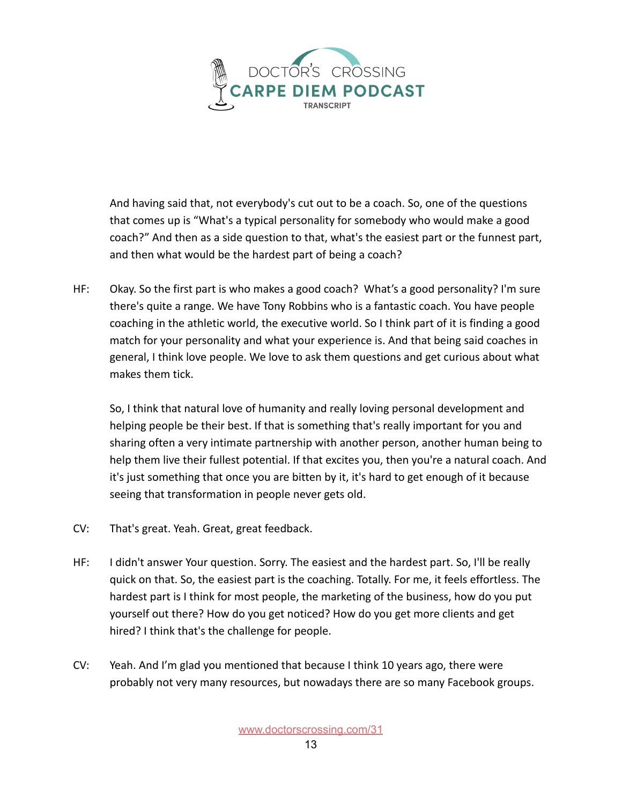

And having said that, not everybody's cut out to be a coach. So, one of the questions that comes up is "What's a typical personality for somebody who would make a good coach?" And then as a side question to that, what's the easiest part or the funnest part, and then what would be the hardest part of being a coach?

HF: Okay. So the first part is who makes a good coach? What's a good personality? I'm sure there's quite a range. We have Tony Robbins who is a fantastic coach. You have people coaching in the athletic world, the executive world. So I think part of it is finding a good match for your personality and what your experience is. And that being said coaches in general, I think love people. We love to ask them questions and get curious about what makes them tick.

So, I think that natural love of humanity and really loving personal development and helping people be their best. If that is something that's really important for you and sharing often a very intimate partnership with another person, another human being to help them live their fullest potential. If that excites you, then you're a natural coach. And it's just something that once you are bitten by it, it's hard to get enough of it because seeing that transformation in people never gets old.

- CV: That's great. Yeah. Great, great feedback.
- HF: I didn't answer Your question. Sorry. The easiest and the hardest part. So, I'll be really quick on that. So, the easiest part is the coaching. Totally. For me, it feels effortless. The hardest part is I think for most people, the marketing of the business, how do you put yourself out there? How do you get noticed? How do you get more clients and get hired? I think that's the challenge for people.
- CV: Yeah. And I'm glad you mentioned that because I think 10 years ago, there were probably not very many resources, but nowadays there are so many Facebook groups.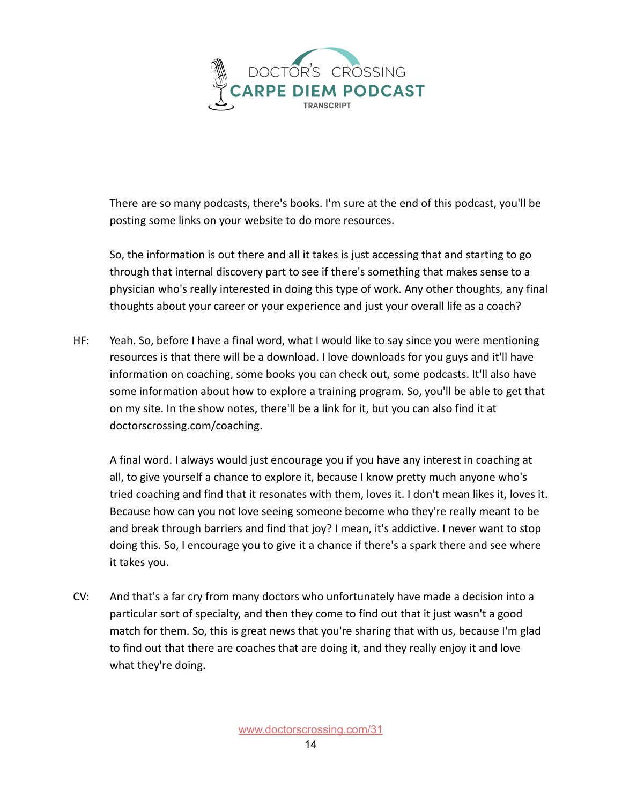

There are so many podcasts, there's books. I'm sure at the end of this podcast, you'll be posting some links on your website to do more resources.

So, the information is out there and all it takes is just accessing that and starting to go through that internal discovery part to see if there's something that makes sense to a physician who's really interested in doing this type of work. Any other thoughts, any final thoughts about your career or your experience and just your overall life as a coach?

HF: Yeah. So, before I have a final word, what I would like to say since you were mentioning resources is that there will be a download. I love downloads for you guys and it'll have information on coaching, some books you can check out, some podcasts. It'll also have some information about how to explore a training program. So, you'll be able to get that on my site. In the show notes, there'll be a link for it, but you can also find it at doctorscrossing.com/coaching.

A final word. I always would just encourage you if you have any interest in coaching at all, to give yourself a chance to explore it, because I know pretty much anyone who's tried coaching and find that it resonates with them, loves it. I don't mean likes it, loves it. Because how can you not love seeing someone become who they're really meant to be and break through barriers and find that joy? I mean, it's addictive. I never want to stop doing this. So, I encourage you to give it a chance if there's a spark there and see where it takes you.

CV: And that's a far cry from many doctors who unfortunately have made a decision into a particular sort of specialty, and then they come to find out that it just wasn't a good match for them. So, this is great news that you're sharing that with us, because I'm glad to find out that there are coaches that are doing it, and they really enjoy it and love what they're doing.